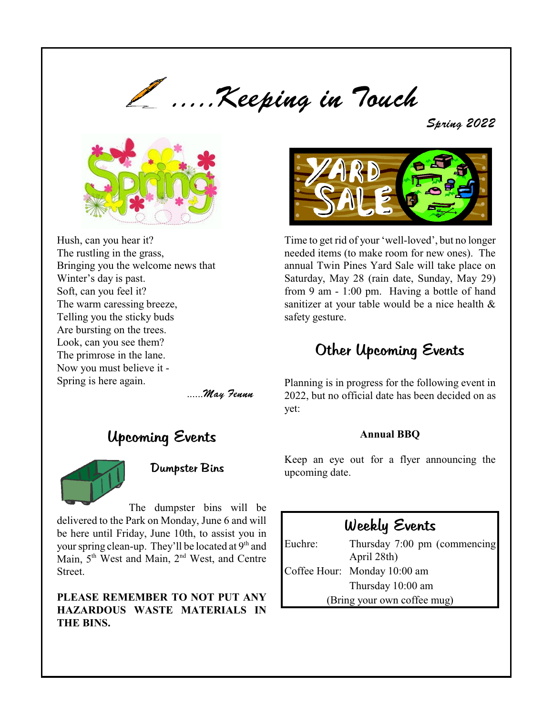

Spring 2022



Hush, can you hear it? The rustling in the grass, Bringing you the welcome news that Winter's day is past. Soft, can you feel it? The warm caressing breeze, Telling you the sticky buds Are bursting on the trees. Look, can you see them? The primrose in the lane. Now you must believe it - Spring is here again.

......May Fennn

# Upcoming Events



# Dumpster Bins

The dumpster bins will be delivered to the Park on Monday, June 6 and will be here until Friday, June 10th, to assist you in your spring clean-up. They'll be located at 9<sup>th</sup> and Main, 5<sup>th</sup> West and Main, 2<sup>nd</sup> West, and Centre Street.

### **PLEASE REMEMBER TO NOT PUT ANY HAZARDOUS WASTE MATERIALS IN THE BINS.**



Time to get rid of your 'well-loved', but no longer needed items (to make room for new ones). The annual Twin Pines Yard Sale will take place on Saturday, May 28 (rain date, Sunday, May 29) from 9 am - 1:00 pm. Having a bottle of hand sanitizer at your table would be a nice health & safety gesture.

# Other Upcoming Events

Planning is in progress for the following event in 2022, but no official date has been decided on as yet:

### **Annual BBQ**

Keep an eye out for a flyer announcing the upcoming date.

# Weekly Events

Euchre: Thursday 7:00 pm (commencing April 28th) Coffee Hour: Monday 10:00 am Thursday 10:00 am (Bring your own coffee mug)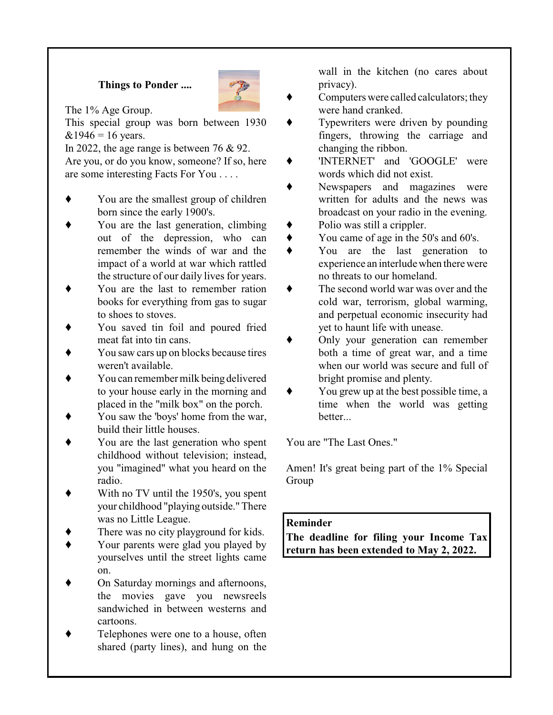## **Things to Ponder ....**



The 1% Age Group.

This special group was born between 1930  $&1946 = 16$  years.

In 2022, the age range is between 76 & 92. Are you, or do you know, someone? If so, here are some interesting Facts For You . . . .

- You are the smallest group of children born since the early 1900's.
- You are the last generation, climbing out of the depression, who can remember the winds of war and the impact of a world at war which rattled the structure of our daily lives for years.
- You are the last to remember ration books for everything from gas to sugar to shoes to stoves.
- You saved tin foil and poured fried meat fat into tin cans.
- You saw cars up on blocks because tires weren't available.
- You can remember milk being delivered to your house early in the morning and placed in the "milk box" on the porch.
- You saw the 'boys' home from the war, build their little houses.
- You are the last generation who spent childhood without television; instead, you "imagined" what you heard on the radio.
- With no TV until the 1950's, you spent your childhood "playing outside."There was no Little League.
- There was no city playground for kids.
- Your parents were glad you played by yourselves until the street lights came on.
- On Saturday mornings and afternoons, the movies gave you newsreels sandwiched in between westerns and cartoons.
- Telephones were one to a house, often shared (party lines), and hung on the

wall in the kitchen (no cares about privacy).

- Computers were called calculators; they were hand cranked.
- Typewriters were driven by pounding fingers, throwing the carriage and changing the ribbon.
- 'INTERNET' and 'GOOGLE' were words which did not exist.
- Newspapers and magazines were written for adults and the news was broadcast on your radio in the evening.
- Polio was still a crippler.
- You came of age in the 50's and 60's.
- You are the last generation to experience an interludewhen there were no threats to our homeland.
- $\bullet$  The second world war was over and the cold war, terrorism, global warming, and perpetual economic insecurity had yet to haunt life with unease.
- Only your generation can remember both a time of great war, and a time when our world was secure and full of bright promise and plenty.
- You grew up at the best possible time, a time when the world was getting better...

You are "The Last Ones."

Amen! It's great being part of the 1% Special Group

### **Reminder**

**The deadline for filing your Income Tax return has been extended to May 2, 2022.**